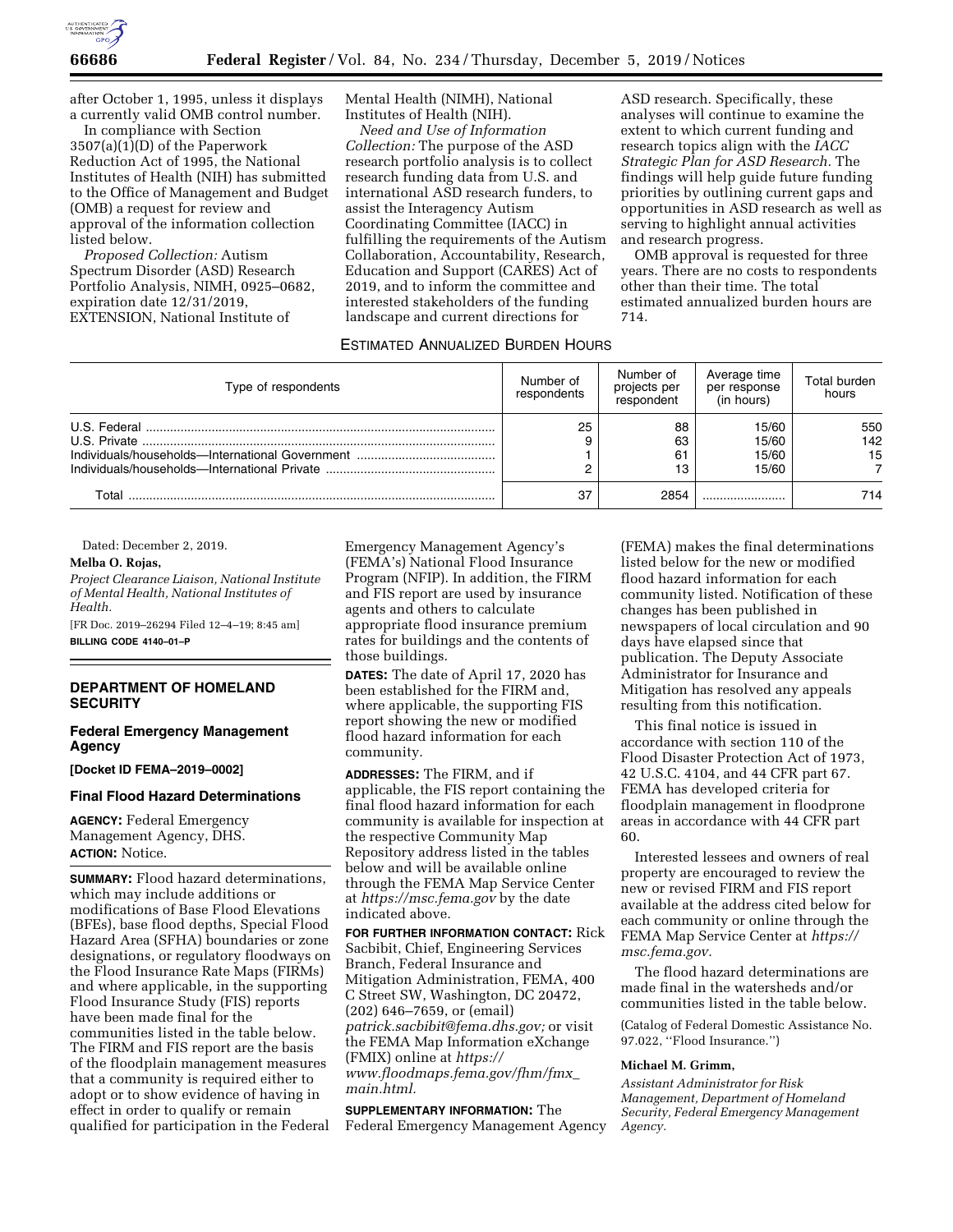

after October 1, 1995, unless it displays a currently valid OMB control number.

In compliance with Section 3507(a)(1)(D) of the Paperwork Reduction Act of 1995, the National Institutes of Health (NIH) has submitted to the Office of Management and Budget (OMB) a request for review and approval of the information collection listed below.

*Proposed Collection:* Autism Spectrum Disorder (ASD) Research Portfolio Analysis, NIMH, 0925–0682, expiration date 12/31/2019, EXTENSION, National Institute of

Mental Health (NIMH), National Institutes of Health (NIH).

*Need and Use of Information Collection:* The purpose of the ASD research portfolio analysis is to collect research funding data from U.S. and international ASD research funders, to assist the Interagency Autism Coordinating Committee (IACC) in fulfilling the requirements of the Autism Collaboration, Accountability, Research, Education and Support (CARES) Act of 2019, and to inform the committee and interested stakeholders of the funding landscape and current directions for

analyses will continue to examine the extent to which current funding and research topics align with the *IACC Strategic Plan for ASD Research.* The findings will help guide future funding priorities by outlining current gaps and opportunities in ASD research as well as serving to highlight annual activities and research progress.

ASD research. Specifically, these

OMB approval is requested for three years. There are no costs to respondents other than their time. The total estimated annualized burden hours are 714.

#### ESTIMATED ANNUALIZED BURDEN HOURS

| Type of respondents | Number of<br>respondents | Number of<br>projects per<br>respondent | Average time<br>per response<br>(in hours) | Total burden<br>hours |
|---------------------|--------------------------|-----------------------------------------|--------------------------------------------|-----------------------|
|                     | 25                       | 88<br>63<br>61<br>13                    | 15/60<br>15/60<br>15/60<br>15/60           | 550<br>142<br>15      |
| Total               | 37                       | 2854                                    |                                            | 714                   |

Dated: December 2, 2019.

## **Melba O. Rojas,**

*Project Clearance Liaison, National Institute of Mental Health, National Institutes of Health.* 

[FR Doc. 2019–26294 Filed 12–4–19; 8:45 am] **BILLING CODE 4140–01–P** 

### **DEPARTMENT OF HOMELAND SECURITY**

## **Federal Emergency Management Agency**

**[Docket ID FEMA–2019–0002]** 

# **Final Flood Hazard Determinations**

**AGENCY:** Federal Emergency Management Agency, DHS. **ACTION:** Notice.

**SUMMARY:** Flood hazard determinations, which may include additions or modifications of Base Flood Elevations (BFEs), base flood depths, Special Flood Hazard Area (SFHA) boundaries or zone designations, or regulatory floodways on the Flood Insurance Rate Maps (FIRMs) and where applicable, in the supporting Flood Insurance Study (FIS) reports have been made final for the communities listed in the table below. The FIRM and FIS report are the basis of the floodplain management measures that a community is required either to adopt or to show evidence of having in effect in order to qualify or remain qualified for participation in the Federal Emergency Management Agency's (FEMA's) National Flood Insurance Program (NFIP). In addition, the FIRM and FIS report are used by insurance agents and others to calculate appropriate flood insurance premium rates for buildings and the contents of those buildings.

**DATES:** The date of April 17, 2020 has been established for the FIRM and, where applicable, the supporting FIS report showing the new or modified flood hazard information for each community.

**ADDRESSES:** The FIRM, and if applicable, the FIS report containing the final flood hazard information for each community is available for inspection at the respective Community Map Repository address listed in the tables below and will be available online through the FEMA Map Service Center at *<https://msc.fema.gov>*by the date indicated above.

**FOR FURTHER INFORMATION CONTACT:** Rick Sacbibit, Chief, Engineering Services Branch, Federal Insurance and Mitigation Administration, FEMA, 400 C Street SW, Washington, DC 20472, (202) 646–7659, or (email) *[patrick.sacbibit@fema.dhs.gov;](mailto:patrick.sacbibit@fema.dhs.gov)* or visit the FEMA Map Information eXchange (FMIX) online at *[https://](https://www.floodmaps.fema.gov/fhm/fmx_main.html) [www.floodmaps.fema.gov/fhm/fmx](https://www.floodmaps.fema.gov/fhm/fmx_main.html)*\_ *[main.html.](https://www.floodmaps.fema.gov/fhm/fmx_main.html)* 

**SUPPLEMENTARY INFORMATION:** The Federal Emergency Management Agency

(FEMA) makes the final determinations listed below for the new or modified flood hazard information for each community listed. Notification of these changes has been published in newspapers of local circulation and 90 days have elapsed since that publication. The Deputy Associate Administrator for Insurance and Mitigation has resolved any appeals resulting from this notification.

This final notice is issued in accordance with section 110 of the Flood Disaster Protection Act of 1973, 42 U.S.C. 4104, and 44 CFR part 67. FEMA has developed criteria for floodplain management in floodprone areas in accordance with 44 CFR part 60.

Interested lessees and owners of real property are encouraged to review the new or revised FIRM and FIS report available at the address cited below for each community or online through the FEMA Map Service Center at *[https://](https://msc.fema.gov) [msc.fema.gov.](https://msc.fema.gov)* 

The flood hazard determinations are made final in the watersheds and/or communities listed in the table below.

(Catalog of Federal Domestic Assistance No. 97.022, ''Flood Insurance.'')

#### **Michael M. Grimm,**

*Assistant Administrator for Risk Management, Department of Homeland Security, Federal Emergency Management Agency.*